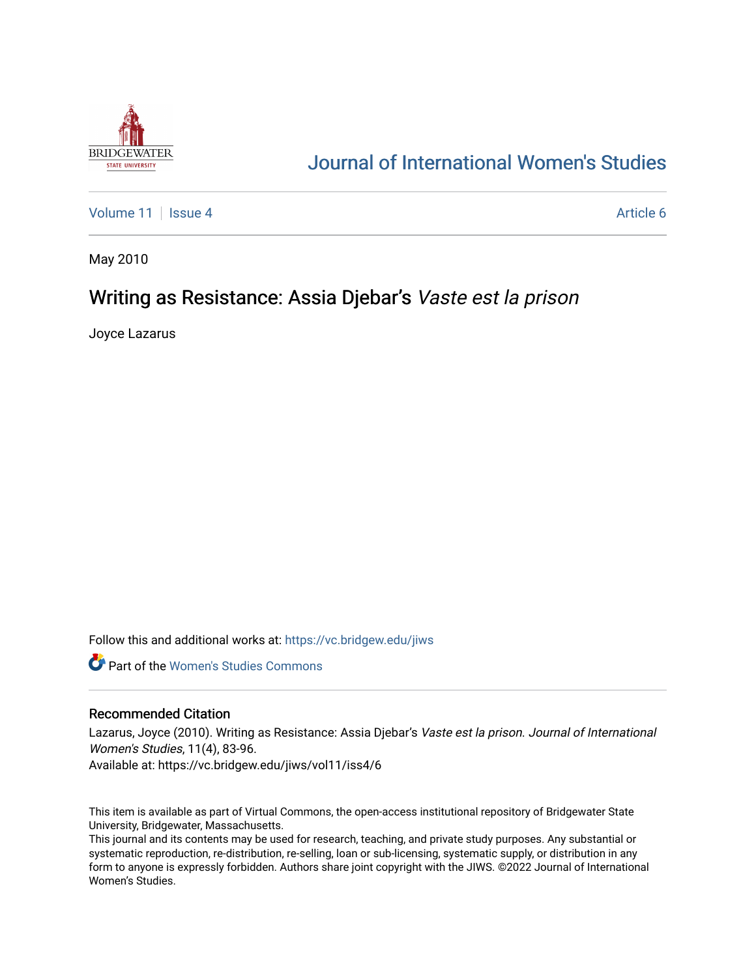

# [Journal of International Women's Studies](https://vc.bridgew.edu/jiws)

[Volume 11](https://vc.bridgew.edu/jiws/vol11) | [Issue 4](https://vc.bridgew.edu/jiws/vol11/iss4) Article 6

May 2010

# Writing as Resistance: Assia Djebar's Vaste est la prison

Joyce Lazarus

Follow this and additional works at: [https://vc.bridgew.edu/jiws](https://vc.bridgew.edu/jiws?utm_source=vc.bridgew.edu%2Fjiws%2Fvol11%2Fiss4%2F6&utm_medium=PDF&utm_campaign=PDFCoverPages)

**C** Part of the Women's Studies Commons

#### Recommended Citation

Lazarus, Joyce (2010). Writing as Resistance: Assia Djebar's Vaste est la prison. Journal of International Women's Studies, 11(4), 83-96.

Available at: https://vc.bridgew.edu/jiws/vol11/iss4/6

This item is available as part of Virtual Commons, the open-access institutional repository of Bridgewater State University, Bridgewater, Massachusetts.

This journal and its contents may be used for research, teaching, and private study purposes. Any substantial or systematic reproduction, re-distribution, re-selling, loan or sub-licensing, systematic supply, or distribution in any form to anyone is expressly forbidden. Authors share joint copyright with the JIWS. ©2022 Journal of International Women's Studies.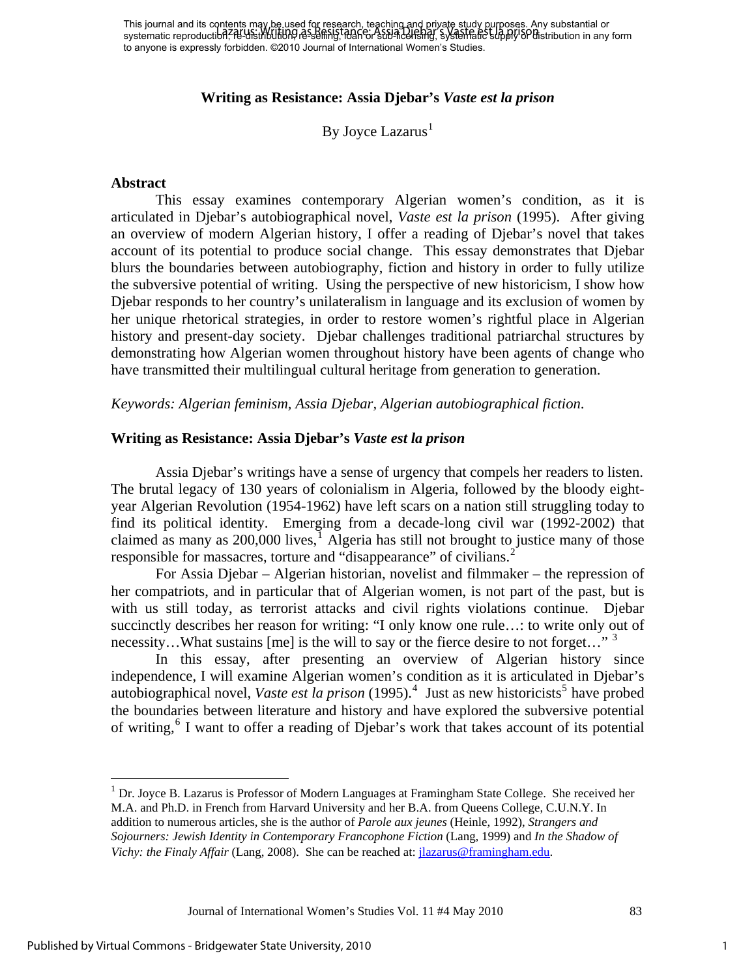This journal and its contents may be used for research, teaching and private study purposes. Any substantial or This journal and its cometrist may be used to research, research strip and or sub-licensis. Any substantial or<br>systematic reproduction, RE-USthbUtion, research is final or still included in systematic supply SP distributio to anyone is expressly forbidden. ©2010 Journal of International Women's Studies.

#### **Writing as Resistance: Assia Djebar's** *Vaste est la prison*

By Joyce Lazarus $<sup>1</sup>$  $<sup>1</sup>$  $<sup>1</sup>$ </sup>

#### **Abstract**

This essay examines contemporary Algerian women's condition, as it is articulated in Djebar's autobiographical novel, *Vaste est la prison* (1995). After giving an overview of modern Algerian history, I offer a reading of Djebar's novel that takes account of its potential to produce social change. This essay demonstrates that Djebar blurs the boundaries between autobiography, fiction and history in order to fully utilize the subversive potential of writing. Using the perspective of new historicism, I show how Djebar responds to her country's unilateralism in language and its exclusion of women by her unique rhetorical strategies, in order to restore women's rightful place in Algerian history and present-day society. Djebar challenges traditional patriarchal structures by demonstrating how Algerian women throughout history have been agents of change who have transmitted their multilingual cultural heritage from generation to generation.

*Keywords: Algerian feminism, Assia Djebar, Algerian autobiographical fiction*.

#### **Writing as Resistance: Assia Djebar's** *Vaste est la prison*

 Assia Djebar's writings have a sense of urgency that compels her readers to listen. The brutal legacy of 130 years of colonialism in Algeria, followed by the bloody eightyear Algerian Revolution (1954-1962) have left scars on a nation still struggling today to find its political identity. Emerging from a decade-long civil war (1992-2002) that claimed as many as  $200,000$  lives,<sup>[1](#page-11-0)</sup> Algeria has still not brought to justice many of those responsible for massacres, torture and "disappearance" of civilians.<sup>[2](#page-11-1)</sup>

 For Assia Djebar – Algerian historian, novelist and filmmaker – the repression of her compatriots, and in particular that of Algerian women, is not part of the past, but is with us still today, as terrorist attacks and civil rights violations continue. Djebar succinctly describes her reason for writing: "I only know one rule…: to write only out of necessity...What sustains [me] is the will to say or the fierce desire to not forget..."<sup>[3](#page-11-1)</sup>

 In this essay, after presenting an overview of Algerian history since independence, I will examine Algerian women's condition as it is articulated in Djebar's autobiographical novel, *Vaste est la prison* (1995).<sup>[4](#page-11-1)</sup> Just as new historicists<sup>[5](#page-11-1)</sup> have probed the boundaries between literature and history and have explored the subversive potential of writing,<sup>[6](#page-11-1)</sup> I want to offer a reading of Djebar's work that takes account of its potential

Journal of International Women's Studies Vol. 11 #4 May 2010 83

 $\overline{a}$ 

<span id="page-1-0"></span><sup>&</sup>lt;sup>1</sup> Dr. Joyce B. Lazarus is Professor of Modern Languages at Framingham State College. She received her M.A. and Ph.D. in French from Harvard University and her B.A. from Queens College, C.U.N.Y. In addition to numerous articles, she is the author of *Parole aux jeunes* (Heinle, 1992), *Strangers and Sojourners: Jewish Identity in Contemporary Francophone Fiction* (Lang, 1999) and *In the Shadow of Vichy: the Finaly Affair* (Lang, 2008). She can be reached at: *jlazarus@framingham.edu.*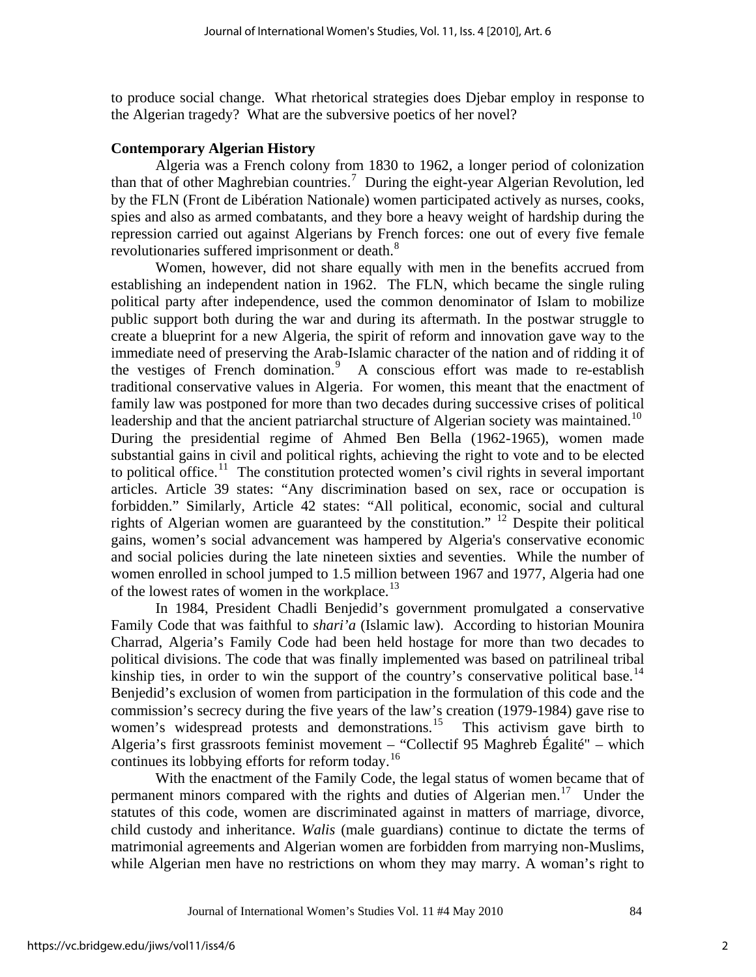to produce social change. What rhetorical strategies does Djebar employ in response to the Algerian tragedy? What are the subversive poetics of her novel?

## **Contemporary Algerian History**

 Algeria was a French colony from 1830 to 1962, a longer period of colonization than that of other Maghrebian countries.<sup>[7](#page-11-1)</sup> During the eight-year Algerian Revolution, led by the FLN (Front de Libération Nationale) women participated actively as nurses, cooks, spies and also as armed combatants, and they bore a heavy weight of hardship during the repression carried out against Algerians by French forces: one out of every five female revolutionaries suffered imprisonment or death.[8](#page-11-1)

Women, however, did not share equally with men in the benefits accrued from establishing an independent nation in 1962. The FLN, which became the single ruling political party after independence, used the common denominator of Islam to mobilize public support both during the war and during its aftermath. In the postwar struggle to create a blueprint for a new Algeria, the spirit of reform and innovation gave way to the immediate need of preserving the Arab-Islamic character of the nation and of ridding it of the vestiges of French domination.<sup>[9](#page-11-1)</sup> A conscious effort was made to re-establish traditional conservative values in Algeria. For women, this meant that the enactment of family law was postponed for more than two decades during successive crises of political leadership and that the ancient patriarchal structure of Algerian society was maintained.<sup>[10](#page-11-1)</sup> During the presidential regime of Ahmed Ben Bella (1962-1965), women made substantial gains in civil and political rights, achieving the right to vote and to be elected to political office.<sup>[11](#page-11-1)</sup> The constitution protected women's civil rights in several important articles. Article 39 states: "Any discrimination based on sex, race or occupation is forbidden." Similarly, Article 42 states: "All political, economic, social and cultural rights of Algerian women are guaranteed by the constitution." [12](#page-11-1) Despite their political gains, women's social advancement was hampered by Algeria's conservative economic and social policies during the late nineteen sixties and seventies. While the number of women enrolled in school jumped to 1.5 million between 1967 and 1977, Algeria had one of the lowest rates of women in the workplace. $^{13}$  $^{13}$  $^{13}$ 

In 1984, President Chadli Benjedid's government promulgated a conservative Family Code that was faithful to *shari'a* (Islamic law). According to historian Mounira Charrad, Algeria's Family Code had been held hostage for more than two decades to political divisions. The code that was finally implemented was based on patrilineal tribal kinship ties, in order to win the support of the country's conservative political base.<sup>[14](#page-11-1)</sup> Benjedid's exclusion of women from participation in the formulation of this code and the commission's secrecy during the five years of the law's creation (1979-1984) gave rise to women's widespread protests and demonstrations.<sup>[15](#page-11-1)</sup> This activism gave birth to Algeria's first grassroots feminist movement – "Collectif 95 Maghreb Égalité" – which continues its lobbying efforts for reform today.<sup>16</sup>

With the enactment of the Family Code, the legal status of women became that of permanent minors compared with the rights and duties of Algerian men.<sup>[17](#page-11-1)</sup> Under the statutes of this code, women are discriminated against in matters of marriage, divorce, child custody and inheritance. *Walis* (male guardians) continue to dictate the terms of matrimonial agreements and Algerian women are forbidden from marrying non-Muslims, while Algerian men have no restrictions on whom they may marry. A woman's right to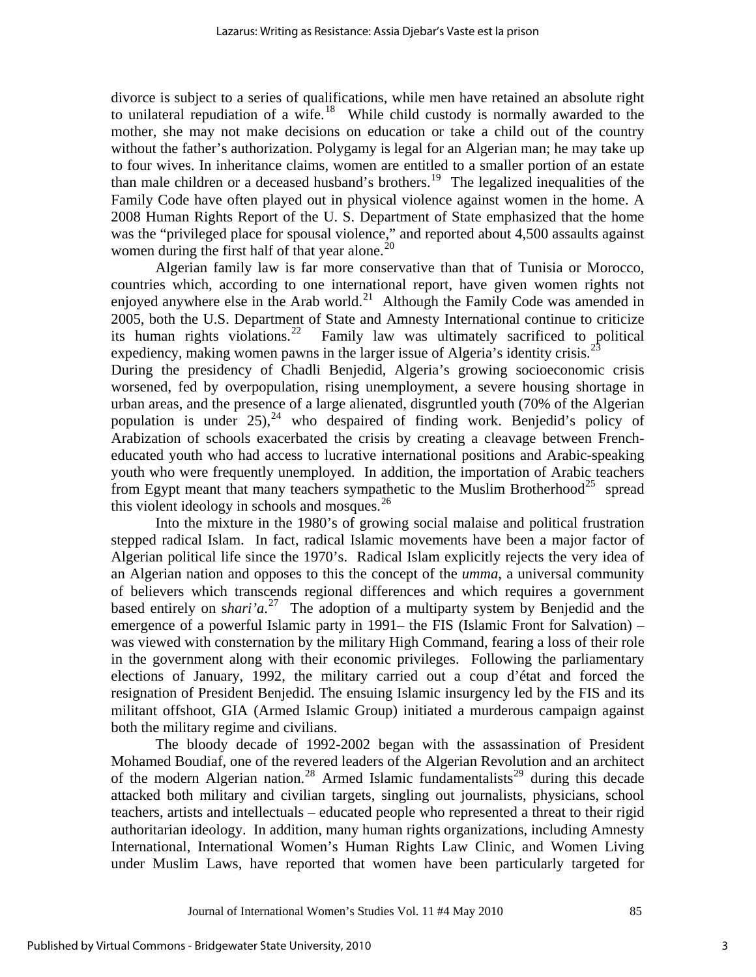divorce is subject to a series of qualifications, while men have retained an absolute right to unilateral repudiation of a wife.<sup>[18](#page-11-1)</sup> While child custody is normally awarded to the mother, she may not make decisions on education or take a child out of the country without the father's authorization. Polygamy is legal for an Algerian man; he may take up to four wives. In inheritance claims, women are entitled to a smaller portion of an estate than male children or a deceased husband's brothers.<sup>[19](#page-11-1)</sup> The legalized inequalities of the Family Code have often played out in physical violence against women in the home. A 2008 Human Rights Report of the U. S. Department of State emphasized that the home was the "privileged place for spousal violence," and reported about 4,500 assaults against women during the first half of that year alone.<sup>[20](#page-11-1)</sup>

Algerian family law is far more conservative than that of Tunisia or Morocco, countries which, according to one international report, have given women rights not enjoyed anywhere else in the Arab world.<sup>[21](#page-11-1)</sup> Although the Family Code was amended in 2005, both the U.S. Department of State and Amnesty International continue to criticize its human rights violations.<sup>22</sup> Family law was ultimately sacrificed to political Family law was ultimately sacrificed to political expediency, making women pawns in the larger issue of Algeria's identity crisis.<sup>2</sup> During the presidency of Chadli Benjedid, Algeria's growing socioeconomic crisis worsened, fed by overpopulation, rising unemployment, a severe housing shortage in urban areas, and the presence of a large alienated, disgruntled youth (70% of the Algerian population is under  $25$ ,<sup>[24](#page-11-1)</sup> who despaired of finding work. Benjedid's policy of Arabization of schools exacerbated the crisis by creating a cleavage between Frencheducated youth who had access to lucrative international positions and Arabic-speaking youth who were frequently unemployed. In addition, the importation of Arabic teachers from Egypt meant that many teachers sympathetic to the Muslim Brotherhood<sup>[25](#page-11-1)</sup> spread

Into the mixture in the 1980's of growing social malaise and political frustration stepped radical Islam. In fact, radical Islamic movements have been a major factor of Algerian political life since the 1970's. Radical Islam explicitly rejects the very idea of an Algerian nation and opposes to this the concept of the *umma*, a universal community of believers which transcends regional differences and which requires a government based entirely on s*hari'a*. [27](#page-11-1) The adoption of a multiparty system by Benjedid and the emergence of a powerful Islamic party in 1991– the FIS (Islamic Front for Salvation) – was viewed with consternation by the military High Command, fearing a loss of their role in the government along with their economic privileges. Following the parliamentary elections of January, 1992, the military carried out a coup d'état and forced the resignation of President Benjedid. The ensuing Islamic insurgency led by the FIS and its militant offshoot, GIA (Armed Islamic Group) initiated a murderous campaign against both the military regime and civilians.

The bloody decade of 1992-2002 began with the assassination of President Mohamed Boudiaf, one of the revered leaders of the Algerian Revolution and an architect of the modern Algerian nation.<sup>[28](#page-12-0)</sup> Armed Islamic fundamentalists<sup>[29](#page-12-0)</sup> during this decade attacked both military and civilian targets, singling out journalists, physicians, school teachers, artists and intellectuals – educated people who represented a threat to their rigid authoritarian ideology. In addition, many human rights organizations, including Amnesty International, International Women's Human Rights Law Clinic, and Women Living under Muslim Laws, have reported that women have been particularly targeted for

this violent ideology in schools and mosques. $^{26}$  $^{26}$  $^{26}$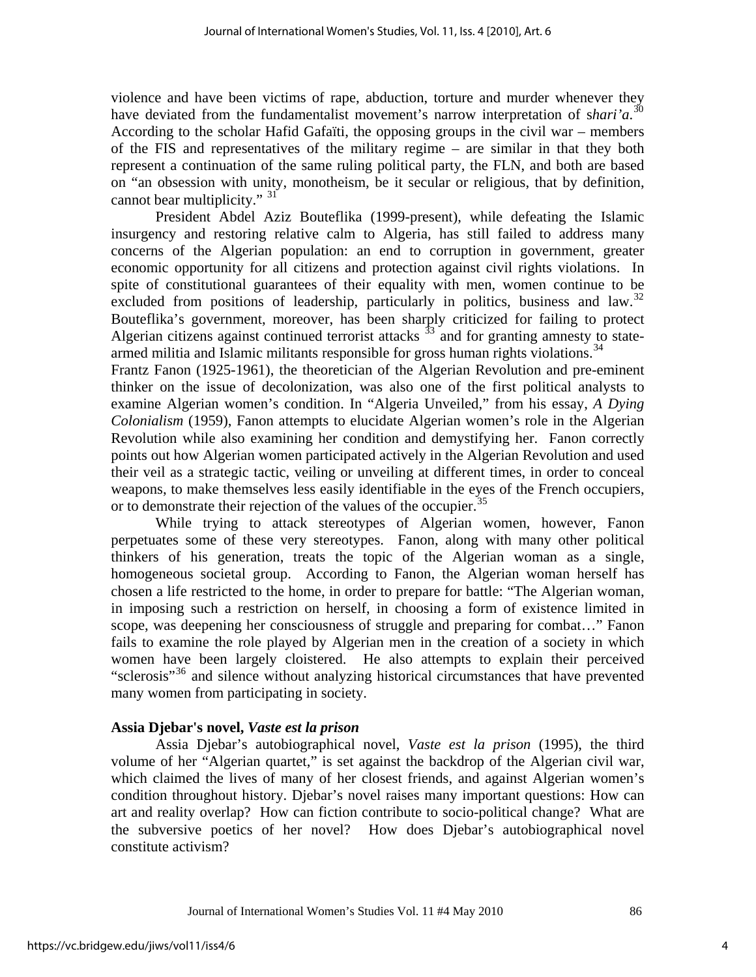violence and have been victims of rape, abduction, torture and murder whenever they have deviated from the fundamentalist movement's narrow interpretation of shari'a.<sup>[30](#page-12-0)</sup> According to the scholar Hafid Gafaïti, the opposing groups in the civil war – members of the FIS and representatives of the military regime – are similar in that they both represent a continuation of the same ruling political party, the FLN, and both are based on "an obsession with unity, monotheism, be it secular or religious, that by definition, cannot bear multiplicity." <sup>[31](#page-12-0)</sup>

President Abdel Aziz Bouteflika (1999-present), while defeating the Islamic insurgency and restoring relative calm to Algeria, has still failed to address many concerns of the Algerian population: an end to corruption in government, greater economic opportunity for all citizens and protection against civil rights violations. In spite of constitutional guarantees of their equality with men, women continue to be excluded from positions of leadership, particularly in politics, business and law.<sup>32</sup> Bouteflika's government, moreover, has been sharply criticized for failing to protect Algerian citizens against continued terrorist attacks  $33$  and for granting amnesty to state-armed militia and Islamic militants responsible for gross human rights violations.<sup>[34](#page-12-0)</sup>

Frantz Fanon (1925-1961), the theoretician of the Algerian Revolution and pre-eminent thinker on the issue of decolonization, was also one of the first political analysts to examine Algerian women's condition. In "Algeria Unveiled," from his essay, *A Dying Colonialism* (1959), Fanon attempts to elucidate Algerian women's role in the Algerian Revolution while also examining her condition and demystifying her. Fanon correctly points out how Algerian women participated actively in the Algerian Revolution and used their veil as a strategic tactic, veiling or unveiling at different times, in order to conceal weapons, to make themselves less easily identifiable in the eyes of the French occupiers, or to demonstrate their rejection of the values of the occupier.<sup>[35](#page-12-0)</sup>

While trying to attack stereotypes of Algerian women, however, Fanon perpetuates some of these very stereotypes. Fanon, along with many other political thinkers of his generation, treats the topic of the Algerian woman as a single, homogeneous societal group. According to Fanon, the Algerian woman herself has chosen a life restricted to the home, in order to prepare for battle: "The Algerian woman, in imposing such a restriction on herself, in choosing a form of existence limited in scope, was deepening her consciousness of struggle and preparing for combat…" Fanon fails to examine the role played by Algerian men in the creation of a society in which women have been largely cloistered. He also attempts to explain their perceived "sclerosis"<sup>[36](#page-12-0)</sup> and silence without analyzing historical circumstances that have prevented many women from participating in society.

#### **Assia Djebar's novel,** *Vaste est la prison*

Assia Djebar's autobiographical novel, *Vaste est la prison* (1995), the third volume of her "Algerian quartet," is set against the backdrop of the Algerian civil war, which claimed the lives of many of her closest friends, and against Algerian women's condition throughout history. Djebar's novel raises many important questions: How can art and reality overlap? How can fiction contribute to socio-political change? What are the subversive poetics of her novel? How does Djebar's autobiographical novel constitute activism?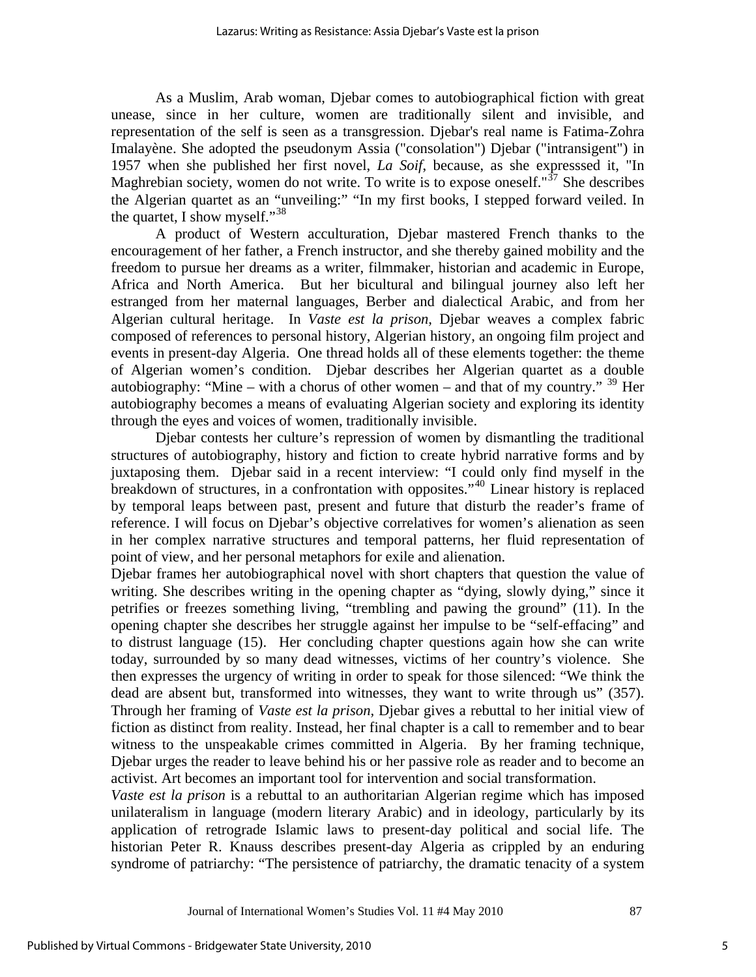As a Muslim, Arab woman, Djebar comes to autobiographical fiction with great unease, since in her culture, women are traditionally silent and invisible, and representation of the self is seen as a transgression. Djebar's real name is Fatima-Zohra Imalayène. She adopted the pseudonym Assia ("consolation") Djebar ("intransigent") in 1957 when she published her first novel, *La Soif*, because, as she expresssed it, "In Maghrebian society, women do not write. To write is to expose oneself." $37$  She describes the Algerian quartet as an "unveiling:" "In my first books, I stepped forward veiled. In the quartet, I show myself."<sup>[38](#page-12-0)</sup>

A product of Western acculturation, Djebar mastered French thanks to the encouragement of her father, a French instructor, and she thereby gained mobility and the freedom to pursue her dreams as a writer, filmmaker, historian and academic in Europe, Africa and North America. But her bicultural and bilingual journey also left her estranged from her maternal languages, Berber and dialectical Arabic, and from her Algerian cultural heritage. In *Vaste est la prison,* Djebar weaves a complex fabric composed of references to personal history, Algerian history, an ongoing film project and events in present-day Algeria. One thread holds all of these elements together: the theme of Algerian women's condition. Djebar describes her Algerian quartet as a double autobiography: "Mine – with a chorus of other women – and that of my country."  $39$  Her autobiography becomes a means of evaluating Algerian society and exploring its identity through the eyes and voices of women, traditionally invisible.

Djebar contests her culture's repression of women by dismantling the traditional structures of autobiography, history and fiction to create hybrid narrative forms and by juxtaposing them. Djebar said in a recent interview: "I could only find myself in the breakdown of structures, in a confrontation with opposites."<sup>[40](#page-12-0)</sup> Linear history is replaced by temporal leaps between past, present and future that disturb the reader's frame of reference. I will focus on Djebar's objective correlatives for women's alienation as seen in her complex narrative structures and temporal patterns, her fluid representation of point of view, and her personal metaphors for exile and alienation.

Djebar frames her autobiographical novel with short chapters that question the value of writing. She describes writing in the opening chapter as "dying, slowly dying," since it petrifies or freezes something living, "trembling and pawing the ground" (11). In the opening chapter she describes her struggle against her impulse to be "self-effacing" and to distrust language (15). Her concluding chapter questions again how she can write today, surrounded by so many dead witnesses, victims of her country's violence. She then expresses the urgency of writing in order to speak for those silenced: "We think the dead are absent but, transformed into witnesses, they want to write through us" (357). Through her framing of *Vaste est la prison,* Djebar gives a rebuttal to her initial view of fiction as distinct from reality. Instead, her final chapter is a call to remember and to bear witness to the unspeakable crimes committed in Algeria. By her framing technique, Djebar urges the reader to leave behind his or her passive role as reader and to become an activist. Art becomes an important tool for intervention and social transformation.

*Vaste est la prison* is a rebuttal to an authoritarian Algerian regime which has imposed unilateralism in language (modern literary Arabic) and in ideology, particularly by its application of retrograde Islamic laws to present-day political and social life. The historian Peter R. Knauss describes present-day Algeria as crippled by an enduring syndrome of patriarchy: "The persistence of patriarchy, the dramatic tenacity of a system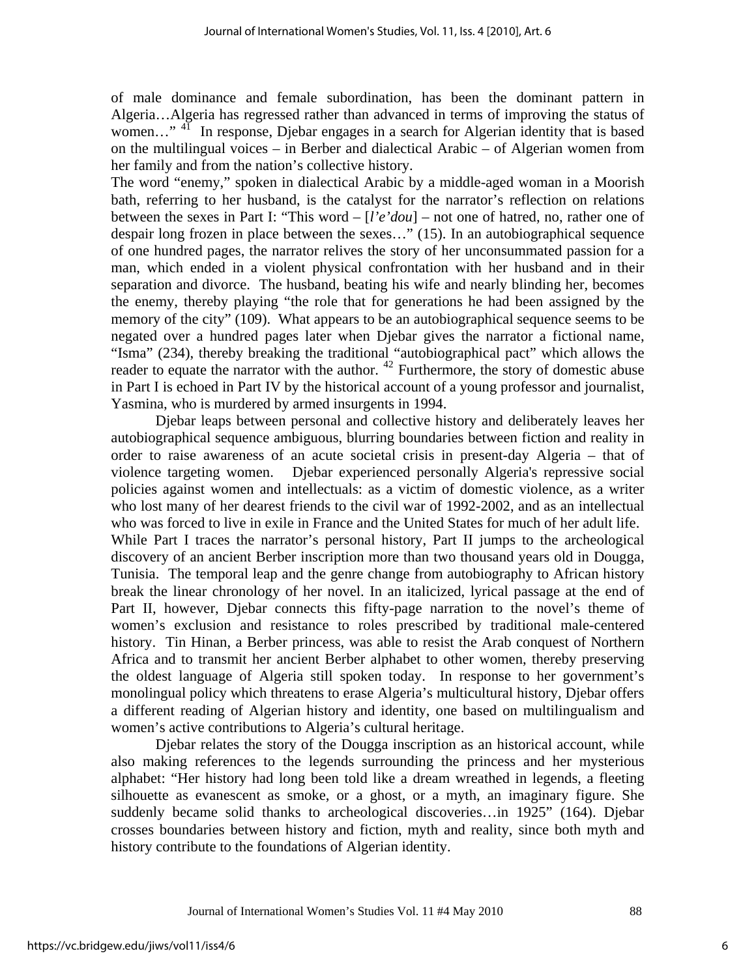of male dominance and female subordination, has been the dominant pattern in Algeria…Algeria has regressed rather than advanced in terms of improving the status of women..."<sup>[41](#page-12-0)</sup> In response, Djebar engages in a search for Algerian identity that is based on the multilingual voices – in Berber and dialectical Arabic – of Algerian women from her family and from the nation's collective history.

The word "enemy," spoken in dialectical Arabic by a middle-aged woman in a Moorish bath, referring to her husband, is the catalyst for the narrator's reflection on relations between the sexes in Part I: "This word – [*l'e'dou*] – not one of hatred, no, rather one of despair long frozen in place between the sexes…" (15). In an autobiographical sequence of one hundred pages, the narrator relives the story of her unconsummated passion for a man, which ended in a violent physical confrontation with her husband and in their separation and divorce. The husband, beating his wife and nearly blinding her, becomes the enemy, thereby playing "the role that for generations he had been assigned by the memory of the city" (109). What appears to be an autobiographical sequence seems to be negated over a hundred pages later when Djebar gives the narrator a fictional name, "Isma" (234), thereby breaking the traditional "autobiographical pact" which allows the reader to equate the narrator with the author.<sup>[42](#page-12-0)</sup> Furthermore, the story of domestic abuse in Part I is echoed in Part IV by the historical account of a young professor and journalist, Yasmina, who is murdered by armed insurgents in 1994.

Djebar leaps between personal and collective history and deliberately leaves her autobiographical sequence ambiguous, blurring boundaries between fiction and reality in order to raise awareness of an acute societal crisis in present-day Algeria – that of violence targeting women. Djebar experienced personally Algeria's repressive social policies against women and intellectuals: as a victim of domestic violence, as a writer who lost many of her dearest friends to the civil war of 1992-2002, and as an intellectual who was forced to live in exile in France and the United States for much of her adult life. While Part I traces the narrator's personal history, Part II jumps to the archeological discovery of an ancient Berber inscription more than two thousand years old in Dougga, Tunisia. The temporal leap and the genre change from autobiography to African history break the linear chronology of her novel. In an italicized, lyrical passage at the end of Part II, however, Djebar connects this fifty-page narration to the novel's theme of women's exclusion and resistance to roles prescribed by traditional male-centered history. Tin Hinan, a Berber princess, was able to resist the Arab conquest of Northern Africa and to transmit her ancient Berber alphabet to other women, thereby preserving the oldest language of Algeria still spoken today. In response to her government's monolingual policy which threatens to erase Algeria's multicultural history, Djebar offers a different reading of Algerian history and identity, one based on multilingualism and women's active contributions to Algeria's cultural heritage.

Djebar relates the story of the Dougga inscription as an historical account, while also making references to the legends surrounding the princess and her mysterious alphabet: "Her history had long been told like a dream wreathed in legends, a fleeting silhouette as evanescent as smoke, or a ghost, or a myth, an imaginary figure. She suddenly became solid thanks to archeological discoveries…in 1925" (164). Djebar crosses boundaries between history and fiction, myth and reality, since both myth and history contribute to the foundations of Algerian identity.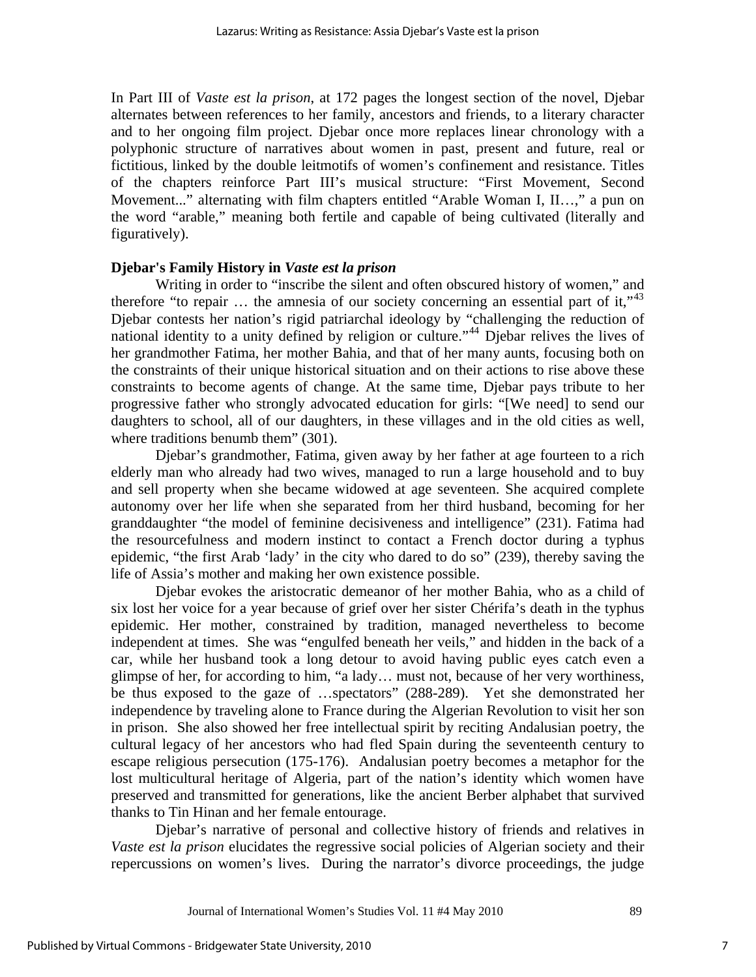In Part III of *Vaste est la prison*, at 172 pages the longest section of the novel, Djebar alternates between references to her family, ancestors and friends, to a literary character and to her ongoing film project. Djebar once more replaces linear chronology with a polyphonic structure of narratives about women in past, present and future, real or fictitious, linked by the double leitmotifs of women's confinement and resistance. Titles of the chapters reinforce Part III's musical structure: "First Movement, Second Movement..." alternating with film chapters entitled "Arable Woman I, II…," a pun on the word "arable," meaning both fertile and capable of being cultivated (literally and figuratively).

#### **Djebar's Family History in** *Vaste est la prison*

Writing in order to "inscribe the silent and often obscured history of women," and therefore "to repair  $\ldots$  the amnesia of our society concerning an essential part of it,"<sup>[43](#page-12-0)</sup> Djebar contests her nation's rigid patriarchal ideology by "challenging the reduction of national identity to a unity defined by religion or culture."[44](#page-12-0) Djebar relives the lives of her grandmother Fatima, her mother Bahia, and that of her many aunts, focusing both on the constraints of their unique historical situation and on their actions to rise above these constraints to become agents of change. At the same time, Djebar pays tribute to her progressive father who strongly advocated education for girls: "[We need] to send our daughters to school, all of our daughters, in these villages and in the old cities as well, where traditions benumb them" (301).

Djebar's grandmother, Fatima, given away by her father at age fourteen to a rich elderly man who already had two wives, managed to run a large household and to buy and sell property when she became widowed at age seventeen. She acquired complete autonomy over her life when she separated from her third husband, becoming for her granddaughter "the model of feminine decisiveness and intelligence" (231). Fatima had the resourcefulness and modern instinct to contact a French doctor during a typhus epidemic, "the first Arab 'lady' in the city who dared to do so" (239), thereby saving the life of Assia's mother and making her own existence possible.

Djebar evokes the aristocratic demeanor of her mother Bahia, who as a child of six lost her voice for a year because of grief over her sister Chérifa's death in the typhus epidemic. Her mother, constrained by tradition, managed nevertheless to become independent at times. She was "engulfed beneath her veils," and hidden in the back of a car, while her husband took a long detour to avoid having public eyes catch even a glimpse of her, for according to him, "a lady… must not, because of her very worthiness, be thus exposed to the gaze of …spectators" (288-289). Yet she demonstrated her independence by traveling alone to France during the Algerian Revolution to visit her son in prison. She also showed her free intellectual spirit by reciting Andalusian poetry, the cultural legacy of her ancestors who had fled Spain during the seventeenth century to escape religious persecution (175-176). Andalusian poetry becomes a metaphor for the lost multicultural heritage of Algeria, part of the nation's identity which women have preserved and transmitted for generations, like the ancient Berber alphabet that survived thanks to Tin Hinan and her female entourage.

Djebar's narrative of personal and collective history of friends and relatives in *Vaste est la prison* elucidates the regressive social policies of Algerian society and their repercussions on women's lives. During the narrator's divorce proceedings, the judge

Journal of International Women's Studies Vol. 11 #4 May 2010 89

7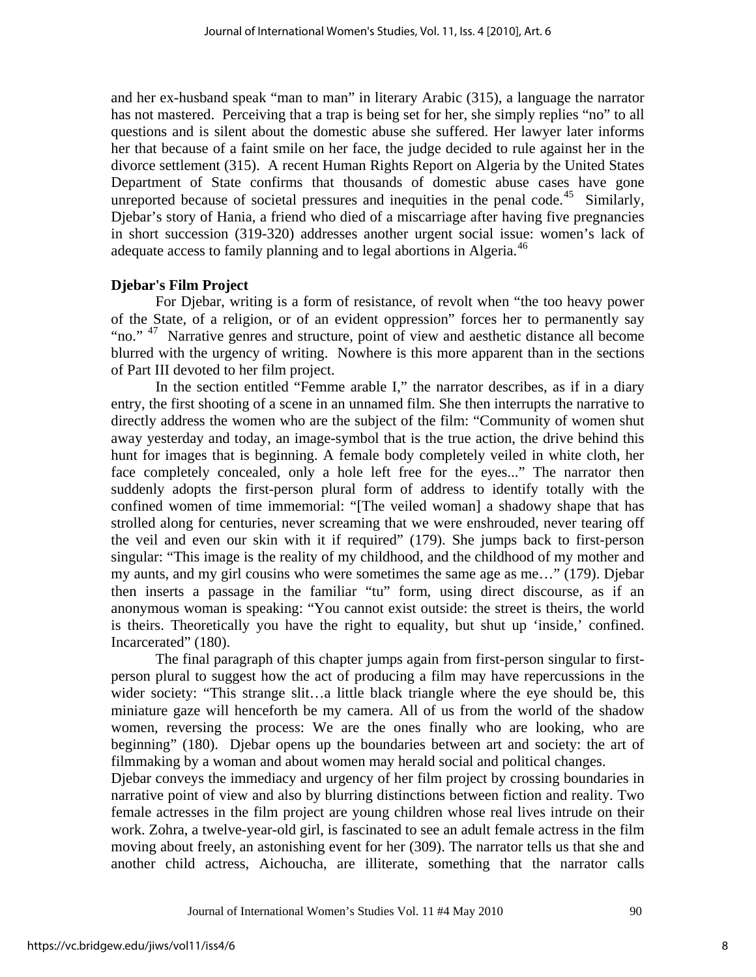and her ex-husband speak "man to man" in literary Arabic (315), a language the narrator has not mastered. Perceiving that a trap is being set for her, she simply replies "no" to all questions and is silent about the domestic abuse she suffered. Her lawyer later informs her that because of a faint smile on her face, the judge decided to rule against her in the divorce settlement (315). A recent Human Rights Report on Algeria by the United States Department of State confirms that thousands of domestic abuse cases have gone unreported because of societal pressures and inequities in the penal code.<sup>[45](#page-12-0)</sup> Similarly, Djebar's story of Hania, a friend who died of a miscarriage after having five pregnancies in short succession (319-320) addresses another urgent social issue: women's lack of adequate access to family planning and to legal abortions in Algeria.<sup>[46](#page-12-0)</sup>

# **Djebar's Film Project**

For Djebar, writing is a form of resistance, of revolt when "the too heavy power of the State, of a religion, or of an evident oppression" forces her to permanently say "no." <sup>[47](#page-12-0)</sup> Narrative genres and structure, point of view and aesthetic distance all become blurred with the urgency of writing. Nowhere is this more apparent than in the sections of Part III devoted to her film project.

In the section entitled "Femme arable I," the narrator describes, as if in a diary entry, the first shooting of a scene in an unnamed film. She then interrupts the narrative to directly address the women who are the subject of the film: "Community of women shut away yesterday and today, an image-symbol that is the true action, the drive behind this hunt for images that is beginning. A female body completely veiled in white cloth, her face completely concealed, only a hole left free for the eyes..." The narrator then suddenly adopts the first-person plural form of address to identify totally with the confined women of time immemorial: "[The veiled woman] a shadowy shape that has strolled along for centuries, never screaming that we were enshrouded, never tearing off the veil and even our skin with it if required" (179). She jumps back to first-person singular: "This image is the reality of my childhood, and the childhood of my mother and my aunts, and my girl cousins who were sometimes the same age as me…" (179). Djebar then inserts a passage in the familiar "tu" form, using direct discourse, as if an anonymous woman is speaking: "You cannot exist outside: the street is theirs, the world is theirs. Theoretically you have the right to equality, but shut up 'inside,' confined. Incarcerated" (180).

The final paragraph of this chapter jumps again from first-person singular to firstperson plural to suggest how the act of producing a film may have repercussions in the wider society: "This strange slit…a little black triangle where the eye should be, this miniature gaze will henceforth be my camera. All of us from the world of the shadow women, reversing the process: We are the ones finally who are looking, who are beginning" (180). Djebar opens up the boundaries between art and society: the art of filmmaking by a woman and about women may herald social and political changes.

Djebar conveys the immediacy and urgency of her film project by crossing boundaries in narrative point of view and also by blurring distinctions between fiction and reality. Two female actresses in the film project are young children whose real lives intrude on their work. Zohra, a twelve-year-old girl, is fascinated to see an adult female actress in the film moving about freely, an astonishing event for her (309). The narrator tells us that she and another child actress, Aichoucha, are illiterate, something that the narrator calls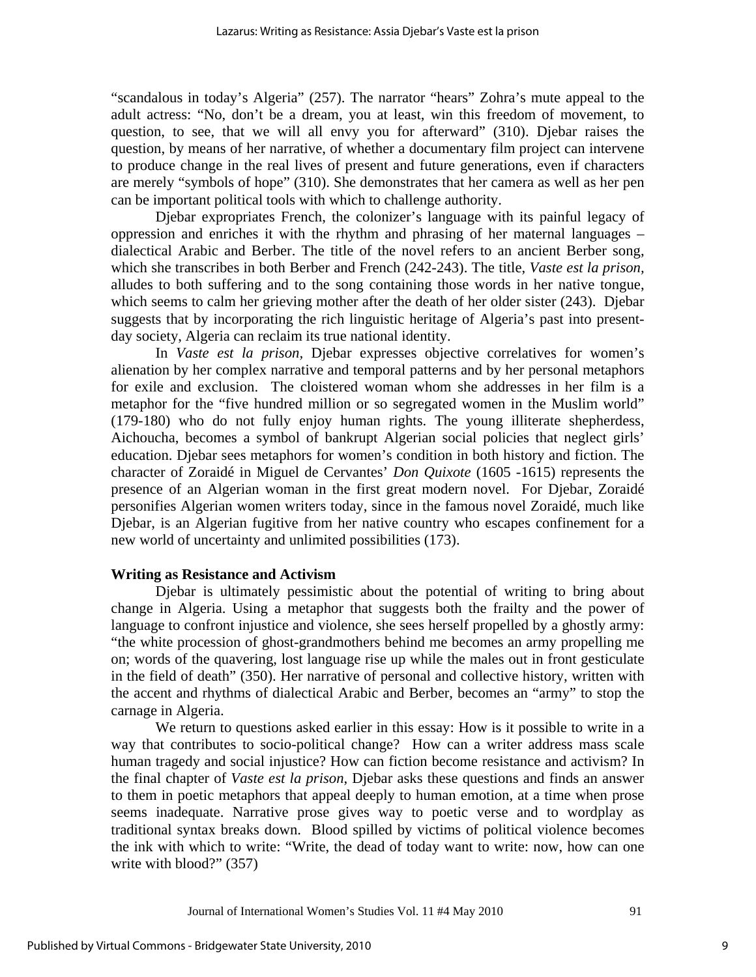"scandalous in today's Algeria" (257). The narrator "hears" Zohra's mute appeal to the adult actress: "No, don't be a dream, you at least, win this freedom of movement, to question, to see, that we will all envy you for afterward" (310). Djebar raises the question, by means of her narrative, of whether a documentary film project can intervene to produce change in the real lives of present and future generations, even if characters are merely "symbols of hope" (310). She demonstrates that her camera as well as her pen can be important political tools with which to challenge authority.

Djebar expropriates French, the colonizer's language with its painful legacy of oppression and enriches it with the rhythm and phrasing of her maternal languages – dialectical Arabic and Berber. The title of the novel refers to an ancient Berber song, which she transcribes in both Berber and French (242-243). The title, *Vaste est la prison,* alludes to both suffering and to the song containing those words in her native tongue, which seems to calm her grieving mother after the death of her older sister (243). Djebar suggests that by incorporating the rich linguistic heritage of Algeria's past into presentday society, Algeria can reclaim its true national identity.

In *Vaste est la prison,* Djebar expresses objective correlatives for women's alienation by her complex narrative and temporal patterns and by her personal metaphors for exile and exclusion. The cloistered woman whom she addresses in her film is a metaphor for the "five hundred million or so segregated women in the Muslim world" (179-180) who do not fully enjoy human rights. The young illiterate shepherdess, Aichoucha, becomes a symbol of bankrupt Algerian social policies that neglect girls' education. Djebar sees metaphors for women's condition in both history and fiction. The character of Zoraidé in Miguel de Cervantes' *Don Quixote* (1605 -1615) represents the presence of an Algerian woman in the first great modern novel. For Djebar, Zoraidé personifies Algerian women writers today, since in the famous novel Zoraidé, much like Djebar, is an Algerian fugitive from her native country who escapes confinement for a new world of uncertainty and unlimited possibilities (173).

# **Writing as Resistance and Activism**

Djebar is ultimately pessimistic about the potential of writing to bring about change in Algeria. Using a metaphor that suggests both the frailty and the power of language to confront injustice and violence, she sees herself propelled by a ghostly army: "the white procession of ghost-grandmothers behind me becomes an army propelling me on; words of the quavering, lost language rise up while the males out in front gesticulate in the field of death" (350). Her narrative of personal and collective history, written with the accent and rhythms of dialectical Arabic and Berber, becomes an "army" to stop the carnage in Algeria.

We return to questions asked earlier in this essay: How is it possible to write in a way that contributes to socio-political change? How can a writer address mass scale human tragedy and social injustice? How can fiction become resistance and activism? In the final chapter of *Vaste est la prison*, Djebar asks these questions and finds an answer to them in poetic metaphors that appeal deeply to human emotion, at a time when prose seems inadequate. Narrative prose gives way to poetic verse and to wordplay as traditional syntax breaks down. Blood spilled by victims of political violence becomes the ink with which to write: "Write, the dead of today want to write: now, how can one write with blood?" (357)

9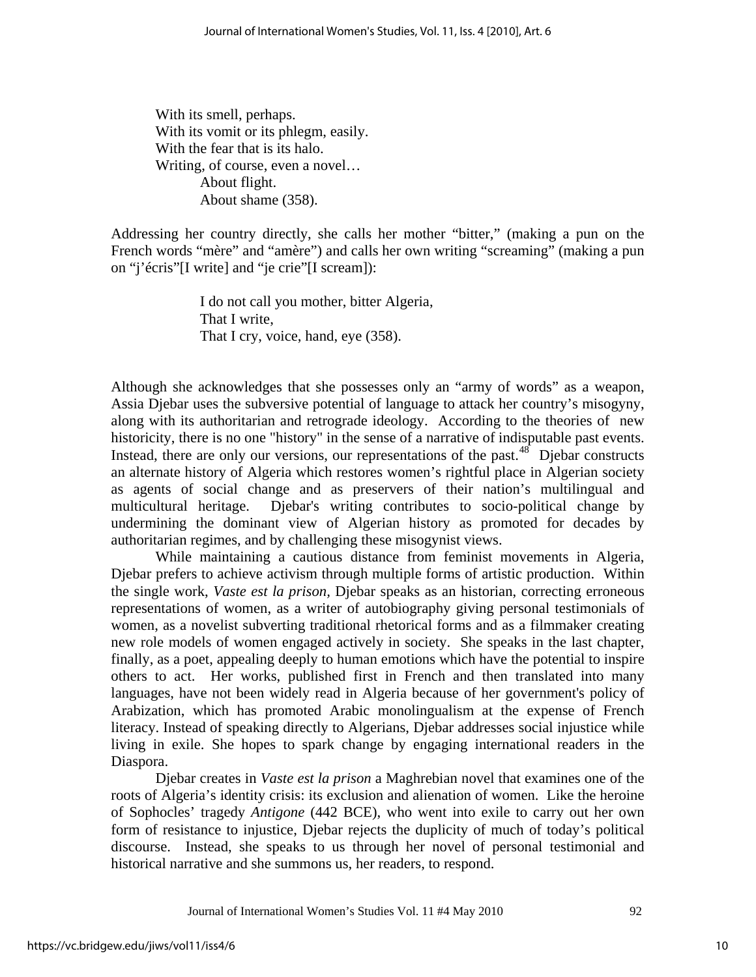With its smell, perhaps. With its vomit or its phlegm, easily. With the fear that is its halo. Writing, of course, even a novel… About flight. About shame (358).

Addressing her country directly, she calls her mother "bitter," (making a pun on the French words "mère" and "amère") and calls her own writing "screaming" (making a pun on "j'écris"[I write] and "je crie"[I scream]):

> I do not call you mother, bitter Algeria, That I write, That I cry, voice, hand, eye (358).

Although she acknowledges that she possesses only an "army of words" as a weapon, Assia Djebar uses the subversive potential of language to attack her country's misogyny, along with its authoritarian and retrograde ideology. According to the theories of new historicity, there is no one "history" in the sense of a narrative of indisputable past events. Instead, there are only our versions, our representations of the past.<sup>[48](#page-13-0)</sup> Djebar constructs an alternate history of Algeria which restores women's rightful place in Algerian society as agents of social change and as preservers of their nation's multilingual and multicultural heritage. Djebar's writing contributes to socio-political change by undermining the dominant view of Algerian history as promoted for decades by authoritarian regimes, and by challenging these misogynist views.

While maintaining a cautious distance from feminist movements in Algeria, Djebar prefers to achieve activism through multiple forms of artistic production. Within the single work, *Vaste est la prison,* Djebar speaks as an historian, correcting erroneous representations of women, as a writer of autobiography giving personal testimonials of women, as a novelist subverting traditional rhetorical forms and as a filmmaker creating new role models of women engaged actively in society. She speaks in the last chapter, finally, as a poet, appealing deeply to human emotions which have the potential to inspire others to act. Her works, published first in French and then translated into many languages, have not been widely read in Algeria because of her government's policy of Arabization, which has promoted Arabic monolingualism at the expense of French literacy. Instead of speaking directly to Algerians, Djebar addresses social injustice while living in exile. She hopes to spark change by engaging international readers in the Diaspora.

Djebar creates in *Vaste est la prison* a Maghrebian novel that examines one of the roots of Algeria's identity crisis: its exclusion and alienation of women. Like the heroine of Sophocles' tragedy *Antigone* (442 BCE), who went into exile to carry out her own form of resistance to injustice, Djebar rejects the duplicity of much of today's political discourse. Instead, she speaks to us through her novel of personal testimonial and historical narrative and she summons us, her readers, to respond.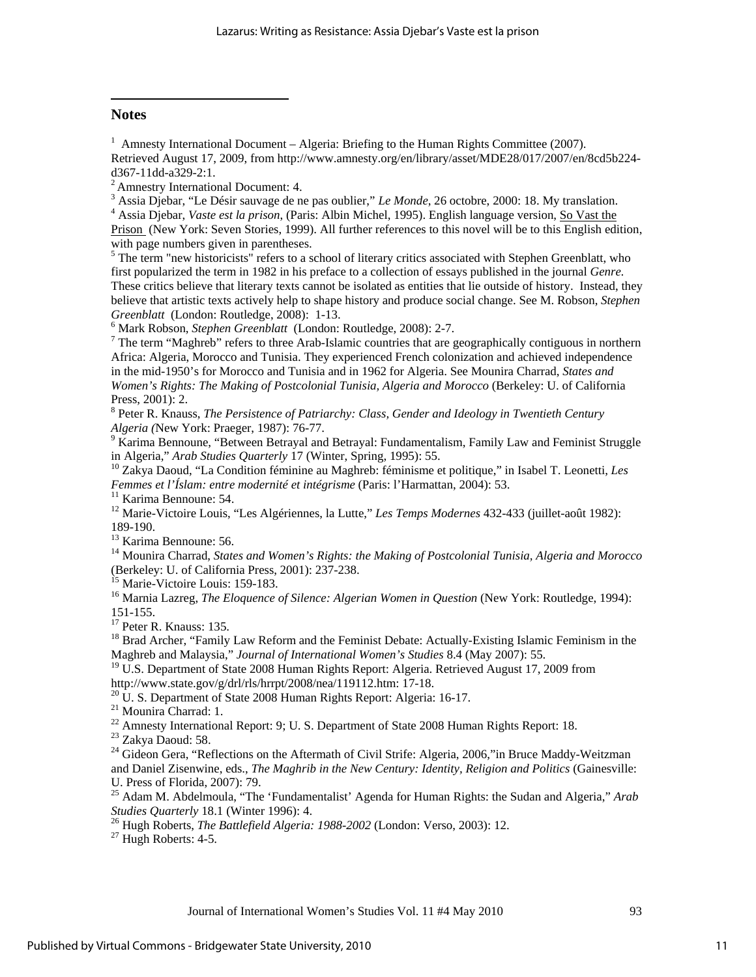#### <span id="page-11-0"></span>**Notes**

<span id="page-11-1"></span> $\overline{a}$ 

<sup>1</sup> Amnesty International Document – Algeria: Briefing to the Human Rights Committee (2007). Retrieved August 17, 2009, from [http://www.amnesty.org/en/library/asset/MDE28/017/2007/en/8cd5b224](http://www.amnesty.org/en/library/asset/MDE28/017/2007/en/8cd5b224-d367-11dd-a329-2:1) [d367-11dd-a329-2:1](http://www.amnesty.org/en/library/asset/MDE28/017/2007/en/8cd5b224-d367-11dd-a329-2:1).<br><sup>2</sup> Amnestry International Document: 4.

<sup>3</sup> Assia Djebar, "Le Désir sauvage de ne pas oublier," *Le Monde*, 26 octobre, 2000: 18. My translation.<br><sup>4</sup> Assia Djebar, *Vaste est la prison* (Perio: Albin Mighel, 1995). English language varsion. So Vest the

 Assia Djebar, *Vaste est la prison*, (Paris: Albin Michel, 1995). English language version, So Vast the Prison (New York: Seven Stories, 1999). All further references to this novel will be to this English edition, with page numbers given in parentheses.

<sup>5</sup> The term "new historicists" refers to a school of literary critics associated with Stephen Greenblatt, who first popularized the term in 1982 in his preface to a collection of essays published in the journal *Genre.*  These critics believe that literary texts cannot be isolated as entities that lie outside of history. Instead, they believe that artistic texts actively help to shape history and produce social change. See M. Robson, *Stephen Greenblatt* (London: Routledge, 2008): 1-13.

<sup>6</sup> Mark Robson, *Stephen Greenblatt* (London: Routledge, 2008): 2-7.

 $\frac{7}{1}$  The term "Maghreb" refers to three Arab-Islamic countries that are geographically contiguous in northern Africa: Algeria, Morocco and Tunisia. They experienced French colonization and achieved independence in the mid-1950's for Morocco and Tunisia and in 1962 for Algeria. See Mounira Charrad, *States and Women's Rights: The Making of Postcolonial Tunisia, Algeria and Morocco* (Berkeley: U. of California Press, 2001): 2.

<sup>8</sup> Peter R. Knauss, *The Persistence of Patriarchy: Class, Gender and Ideology in Twentieth Century Algeria (*New York: Praeger, 1987): 76-77. 9

<sup>9</sup> Karima Bennoune, "Between Betrayal and Betrayal: Fundamentalism, Family Law and Feminist Struggle in Algeria," *Arab Studies Quarterly* 17 (Winter, Spring, 1995): 55.<br><sup>10</sup> Zakya Daoud, "La Condition féminine au Maghreb: féminisme et politique," in Isabel T. Leonetti, *Les* 

*Femmes et l'Íslam: entre modernité et intégrisme* (Paris: l'Harmattan, 2004): 53. 11 Karima Bennoune: 54.

12 Marie-Victoire Louis, "Les Algériennes, la Lutte," *Les Temps Modernes* 432-433 (juillet-août 1982): 189-190.

<sup>13</sup> Karima Bennoune: 56.

14 Mounira Charrad, *States and Women's Rights: the Making of Postcolonial Tunisia, Algeria and Morocco* (Berkeley: U. of California Press, 2001): 237-238.

<sup>15</sup> Marie-Victoire Louis: 159-183.

<sup>16</sup> Marnia Lazreg, *The Eloquence of Silence: Algerian Women in Question* (New York: Routledge, 1994): 151-155.

<sup>17</sup> Peter R. Knauss: 135.

<sup>18</sup> Brad Archer, "Family Law Reform and the Feminist Debate: Actually-Existing Islamic Feminism in the Maghreb and Malaysia," *Journal of International Women's Studies* 8.4 (May 2007): 55.

<sup>19</sup> U.S. Department of State 2008 Human Rights Report: Algeria. Retrieved August 17, 2009 from

[http://www.state.gov/g/drl/rls/hrrpt/2008/nea/119112.htm:](http://www.state.gov/g/drl/rls/hrrpt/2008/nea/119112.htm) 17-18.<br><sup>[20](http://www.state.gov/g/drl/rls/hrrpt/2008/nea/119112.htm)</sup> U. S. Department of State 2008 Human Rights Report: Algeria: 16-17.

21 Mounira Charrad: 1.

<sup>22</sup> Amnesty International Report: 9; U. S. Department of State 2008 Human Rights Report: 18.

23 Zakya Daoud: 58.

<sup>24</sup> Gideon Gera, "Reflections on the Aftermath of Civil Strife: Algeria, 2006,"in Bruce Maddy-Weitzman and Daniel Zisenwine, eds., *The Maghrib in the New Century: Identity, Religion and Politics* (Gainesville: U. Press of Florida, 2007): 79.

25 Adam M. Abdelmoula, "The 'Fundamentalist' Agenda for Human Rights: the Sudan and Algeria," *Arab* 

*Studies Quarterly* 18.1 (Winter 1996): 4.<br><sup>26</sup> Hugh Roberts, *The Battlefield Algeria: 1988-2002* (London: Verso, 2003): 12.<br><sup>27</sup> Hugh Roberts: 4-5.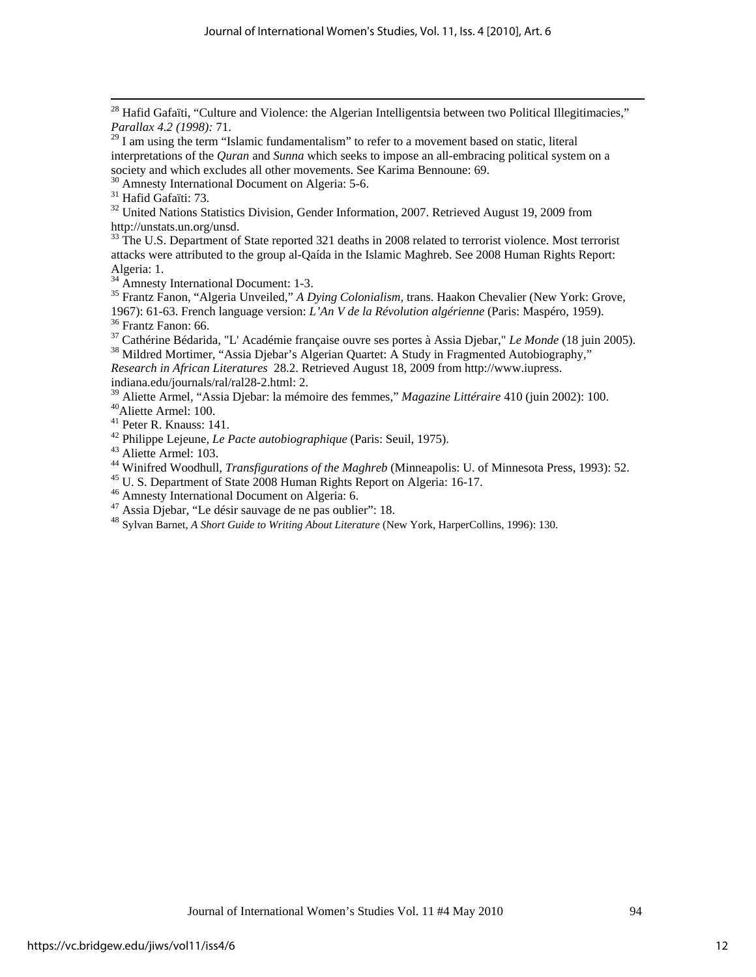<sup>30</sup> Amnesty International Document on Algeria: 5-6.

31 Hafid Gafaïti: 73.

 $32$  United Nations Statistics Division, Gender Information, 2007. Retrieved August 19, 2009 from [http://unstats.un.org/unsd.](http://unstats.un.org/unsd)<br><sup>[33](http://unstats.un.org/unsd)</sup> The U.S. Department of State reported 321 deaths in 2008 related to terrorist violence. Most terrorist

attacks were attributed to the group al-Qaída in the Islamic Maghreb. See 2008 Human Rights Report: Algeria: 1.

<sup>34</sup> Amnesty International Document: 1-3.

35 Frantz Fanon, "Algeria Unveiled," *A Dying Colonialism,* trans. Haakon Chevalier (New York: Grove, 1967): 61-63. French language version: *L'An V de la Révolution algérienne* (Paris: Maspéro, 1959). <sup>36</sup> Frantz Fanon: 66.

<sup>37</sup> Cathérine Bédarida, "L' Académie française ouvre ses portes à Assia Djebar," *Le Monde* (18 juin 2005).<br><sup>38</sup> Mildred Mortimer, "Assia Djebar's Algerian Quartet: A Study in Fragmented Autobiography,"

*Research in African Literatures* 28.2. Retrieved August 18, 2009 from http://www.iupress. indiana.ed[u/journals/ral/ral28-2.html](http://www.iupress.indiana.edu/journals/ral/ral28-2.html): 2.

<sup>39</sup> Aliette Armel, "Assia Djebar: la mémoire des femmes," *Magazine Littéraire* 410 (juin 2002): 100.<br><sup>40</sup>Aliette Armel: 100.

41 Peter R. Knauss: 141.

42 Philippe Lejeune, *Le Pacte autobiographique* (Paris: Seuil, 1975). 43 Aliette Armel: 103.

<sup>44</sup> Winifred Woodhull, *Transfigurations of the Maghreb* (Minneapolis: U. of Minnesota Press, 1993): 52.<br><sup>45</sup> U. S. Department of State 2008 Human Rights Report on Algeria: 16-17.

46 Amnesty International Document on Algeria: 6.

47 Assia Djebar, "Le désir sauvage de ne pas oublier": 18.

<sup>48</sup> Sylvan Barnet, *A Short Guide to Writing About Literature* (New York, HarperCollins, 1996): 130.

<span id="page-12-0"></span> $^{28}$  Hafid Gafaïti, "Culture and Violence: the Algerian Intelligentsia between two Political Illegitimacies," *Parallax 4.2 (1998):* 71.

 $2<sup>29</sup>$  I am using the term "Islamic fundamentalism" to refer to a movement based on static, literal interpretations of the *Quran* and *Sunna* which seeks to impose an all-embracing political system on a society and which excludes all other movements. See Karima Bennoune: 69.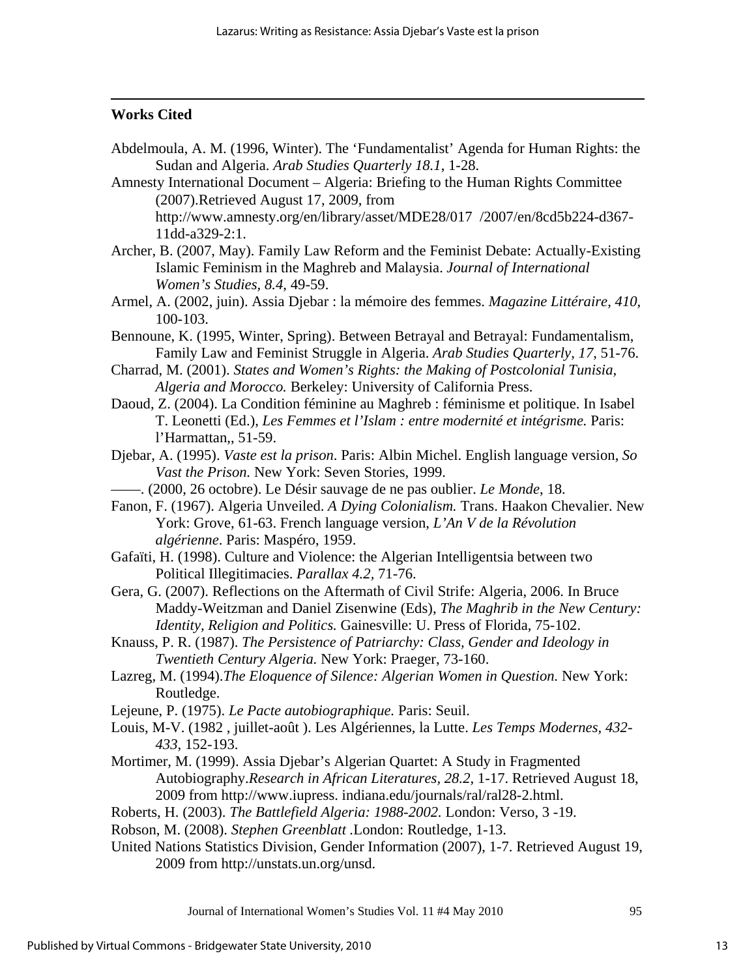# <span id="page-13-0"></span>**Works Cited**

 $\overline{a}$ 

- Abdelmoula, A. M. (1996, Winter). The 'Fundamentalist' Agenda for Human Rights: the Sudan and Algeria. *Arab Studies Quarterly 18.1*, 1-28.
- Amnesty International Document Algeria: Briefing to the Human Rights Committee (2007).Retrieved August 17, 2009, from http://www.amnesty.org/en/library/asset/MDE28/017 [/2007/en/8cd5b224-d367-](http://www.amnesty.org/en/library/asset/MDE28/017/2007/en/8cd5b224-d367-11dd-a329-2:1) [11dd-a329-2:1.](http://www.amnesty.org/en/library/asset/MDE28/017/2007/en/8cd5b224-d367-11dd-a329-2:1)
- Archer, B. (2007, May). Family Law Reform and the Feminist Debate: Actually-Existing Islamic Feminism in the Maghreb and Malaysia. *Journal of International Women's Studies, 8.4*, 49-59.
- Armel, A. (2002, juin). Assia Djebar : la mémoire des femmes. *Magazine Littéraire, 410*, 100-103.
- Bennoune, K. (1995, Winter, Spring). Between Betrayal and Betrayal: Fundamentalism, Family Law and Feminist Struggle in Algeria. *Arab Studies Quarterly, 17*, 51-76.
- Charrad, M. (2001). *States and Women's Rights: the Making of Postcolonial Tunisia, Algeria and Morocco.* Berkeley: University of California Press.
- Daoud, Z. (2004). La Condition féminine au Maghreb : féminisme et politique. In Isabel T. Leonetti (Ed.), *Les Femmes et l'Islam : entre modernité et intégrisme.* Paris: l'Harmattan,, 51-59.
- Djebar, A. (1995). *Vaste est la prison*. Paris: Albin Michel. English language version, *So Vast the Prison.* New York: Seven Stories, 1999.
- ——. (2000, 26 octobre). Le Désir sauvage de ne pas oublier. *Le Monde*, 18.
- Fanon, F. (1967). Algeria Unveiled. *A Dying Colonialism.* Trans. Haakon Chevalier. New York: Grove, 61-63. French language version, *L'An V de la Révolution algérienne*. Paris: Maspéro, 1959.
- Gafaïti, H. (1998). Culture and Violence: the Algerian Intelligentsia between two Political Illegitimacies. *Parallax 4.2,* 71-76.
- Gera, G. (2007). Reflections on the Aftermath of Civil Strife: Algeria, 2006. In Bruce Maddy-Weitzman and Daniel Zisenwine (Eds), *The Maghrib in the New Century: Identity, Religion and Politics.* Gainesville: U. Press of Florida, 75-102.
- Knauss, P. R. (1987). *The Persistence of Patriarchy: Class, Gender and Ideology in Twentieth Century Algeria.* New York: Praeger, 73-160.
- Lazreg, M. (1994).*The Eloquence of Silence: Algerian Women in Question.* New York: Routledge.
- Lejeune, P. (1975). *Le Pacte autobiographique.* Paris: Seuil.
- Louis, M-V. (1982 , juillet-août ). Les Algériennes, la Lutte. *Les Temps Modernes, 432- 433*, 152-193.
- Mortimer, M. (1999). Assia Djebar's Algerian Quartet: A Study in Fragmented Autobiography.*Research in African Literatures, 28.2*, 1-17. Retrieved August 18, 2009 from [http://www.iupress](http://www.iupress/). indiana.edu[/journals/ral/ral28-2.html.](http://www.iupress.indiana.edu/journals/ral/ral28-2.html)
- Roberts, H. (2003). *The Battlefield Algeria: 1988-2002.* London: Verso, 3 -19.
- Robson, M. (2008). *Stephen Greenblatt .*London: Routledge, 1-13.
- United Nations Statistics Division, Gender Information (2007), 1-7. Retrieved August 19, 2009 from<http://unstats.un.org/unsd>.

Journal of International Women's Studies Vol. 11 #4 May 2010 95